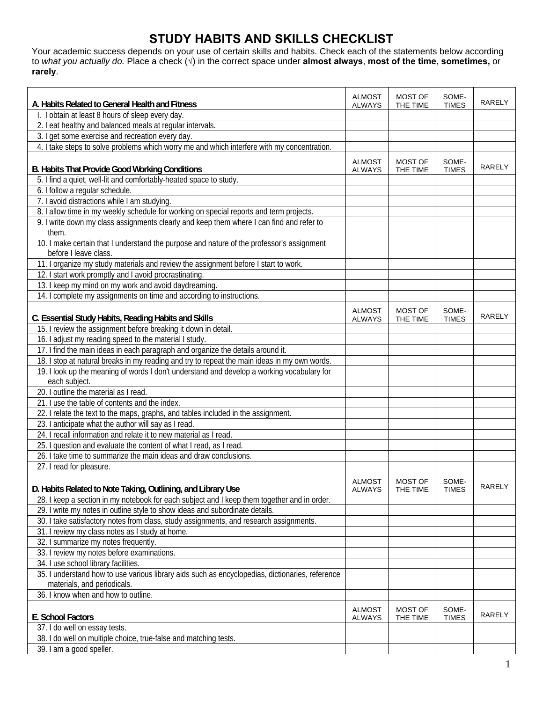## **STUDY HABITS AND SKILLS CHECKLIST**

Your academic success depends on your use of certain skills and habits. Check each of the statements below according to *what you actually do.* Place a check (**√**) in the correct space under **almost always**, **most of the time**, **sometimes,** or **rarely**.

|                                                                                                                    | <b>ALMOST</b>                  | <b>MOST OF</b>             | SOME-                 |               |
|--------------------------------------------------------------------------------------------------------------------|--------------------------------|----------------------------|-----------------------|---------------|
| A. Habits Related to General Health and Fitness                                                                    | <b>ALWAYS</b>                  | THE TIME                   | <b>TIMES</b>          | <b>RARELY</b> |
| I. I obtain at least 8 hours of sleep every day.                                                                   |                                |                            |                       |               |
| 2. I eat healthy and balanced meals at regular intervals.                                                          |                                |                            |                       |               |
| 3. I get some exercise and recreation every day.                                                                   |                                |                            |                       |               |
| 4. I take steps to solve problems which worry me and which interfere with my concentration.                        |                                |                            |                       |               |
|                                                                                                                    | <b>ALMOST</b>                  | <b>MOST OF</b>             | SOME-                 |               |
| <b>B. Habits That Provide Good Working Conditions</b>                                                              | <b>ALWAYS</b>                  | THE TIME                   | <b>TIMES</b>          | <b>RARELY</b> |
| 5. I find a quiet, well-lit and comfortably-heated space to study.                                                 |                                |                            |                       |               |
| 6. I follow a regular schedule.                                                                                    |                                |                            |                       |               |
| 7. I avoid distractions while I am studying.                                                                       |                                |                            |                       |               |
| 8. I allow time in my weekly schedule for working on special reports and term projects.                            |                                |                            |                       |               |
| 9. I write down my class assignments clearly and keep them where I can find and refer to                           |                                |                            |                       |               |
| them.                                                                                                              |                                |                            |                       |               |
| 10. I make certain that I understand the purpose and nature of the professor's assignment<br>before I leave class. |                                |                            |                       |               |
| 11. I organize my study materials and review the assignment before I start to work.                                |                                |                            |                       |               |
| 12. I start work promptly and I avoid procrastinating.                                                             |                                |                            |                       |               |
| 13. I keep my mind on my work and avoid daydreaming.                                                               |                                |                            |                       |               |
| 14. I complete my assignments on time and according to instructions.                                               |                                |                            |                       |               |
|                                                                                                                    |                                |                            |                       |               |
| C. Essential Study Habits, Reading Habits and Skills                                                               | <b>ALMOST</b><br><b>ALWAYS</b> | <b>MOST OF</b><br>THE TIME | SOME-<br><b>TIMES</b> | <b>RARELY</b> |
| 15. I review the assignment before breaking it down in detail.                                                     |                                |                            |                       |               |
| 16. I adjust my reading speed to the material I study.                                                             |                                |                            |                       |               |
| 17. I find the main ideas in each paragraph and organize the details around it.                                    |                                |                            |                       |               |
| 18. I stop at natural breaks in my reading and try to repeat the main ideas in my own words.                       |                                |                            |                       |               |
| 19. I look up the meaning of words I don't understand and develop a working vocabulary for                         |                                |                            |                       |               |
| each subject.                                                                                                      |                                |                            |                       |               |
| 20. I outline the material as I read.                                                                              |                                |                            |                       |               |
| 21. I use the table of contents and the index.                                                                     |                                |                            |                       |               |
| 22. I relate the text to the maps, graphs, and tables included in the assignment.                                  |                                |                            |                       |               |
| 23. I anticipate what the author will say as I read.                                                               |                                |                            |                       |               |
| 24. I recall information and relate it to new material as I read.                                                  |                                |                            |                       |               |
| 25. I question and evaluate the content of what I read, as I read.                                                 |                                |                            |                       |               |
| 26. I take time to summarize the main ideas and draw conclusions.                                                  |                                |                            |                       |               |
| 27. I read for pleasure.                                                                                           |                                |                            |                       |               |
|                                                                                                                    |                                |                            |                       |               |
| D. Habits Related to Note Taking, Outlining, and Library Use                                                       | <b>ALMOST</b><br><b>ALWAYS</b> | MOST OF<br>THE TIME        | SOME-<br><b>TIMES</b> | <b>RARELY</b> |
| 28. I keep a section in my notebook for each subject and I keep them together and in order.                        |                                |                            |                       |               |
| 29. I write my notes in outline style to show ideas and subordinate details.                                       |                                |                            |                       |               |
| 30. I take satisfactory notes from class, study assignments, and research assignments.                             |                                |                            |                       |               |
| 31. I review my class notes as I study at home.                                                                    |                                |                            |                       |               |
| 32. I summarize my notes frequently.                                                                               |                                |                            |                       |               |
| 33. I review my notes before examinations.                                                                         |                                |                            |                       |               |
| 34. I use school library facilities.                                                                               |                                |                            |                       |               |
| 35. I understand how to use various library aids such as encyclopedias, dictionaries, reference                    |                                |                            |                       |               |
| materials, and periodicals.                                                                                        |                                |                            |                       |               |
| 36. I know when and how to outline.                                                                                |                                |                            |                       |               |
|                                                                                                                    | <b>ALMOST</b>                  | MOST OF                    | SOME-                 |               |
| E. School Factors                                                                                                  | <b>ALWAYS</b>                  | THE TIME                   | <b>TIMES</b>          | RARELY        |
| 37. I do well on essay tests.                                                                                      |                                |                            |                       |               |
| 38. I do well on multiple choice, true-false and matching tests.                                                   |                                |                            |                       |               |
| 39. I am a good speller.                                                                                           |                                |                            |                       |               |